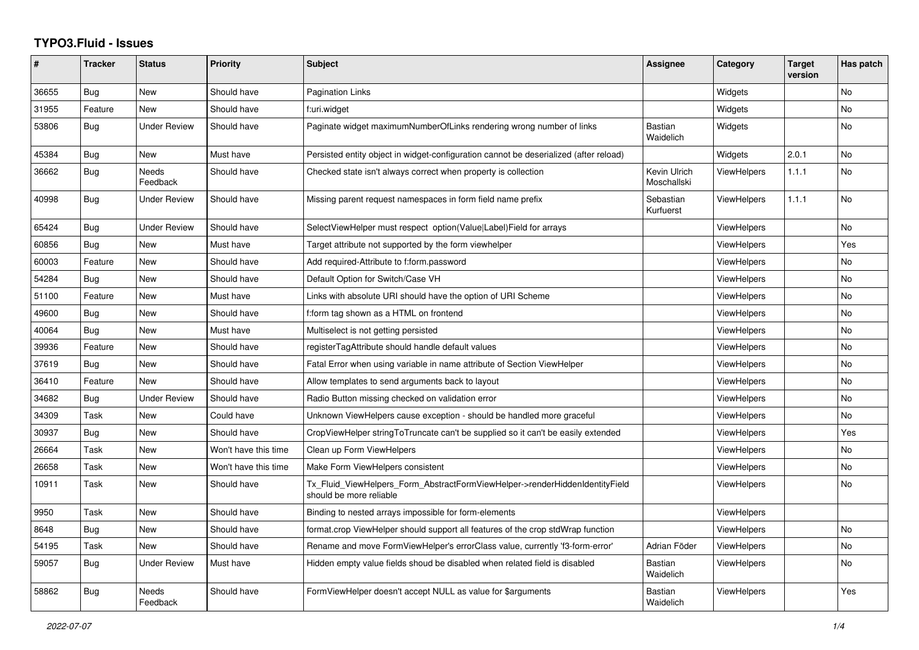## **TYPO3.Fluid - Issues**

| #     | <b>Tracker</b> | <b>Status</b>       | <b>Priority</b>      | <b>Subject</b>                                                                                         | Assignee                    | Category           | <b>Target</b><br>version | Has patch |
|-------|----------------|---------------------|----------------------|--------------------------------------------------------------------------------------------------------|-----------------------------|--------------------|--------------------------|-----------|
| 36655 | Bug            | New                 | Should have          | <b>Pagination Links</b>                                                                                |                             | Widgets            |                          | <b>No</b> |
| 31955 | Feature        | New                 | Should have          | f:uri.widget                                                                                           |                             | Widgets            |                          | <b>No</b> |
| 53806 | Bug            | <b>Under Review</b> | Should have          | Paginate widget maximumNumberOfLinks rendering wrong number of links                                   | <b>Bastian</b><br>Waidelich | Widgets            |                          | <b>No</b> |
| 45384 | Bug            | New                 | Must have            | Persisted entity object in widget-configuration cannot be deserialized (after reload)                  |                             | Widgets            | 2.0.1                    | <b>No</b> |
| 36662 | Bug            | Needs<br>Feedback   | Should have          | Checked state isn't always correct when property is collection                                         | Kevin Ulrich<br>Moschallski | <b>ViewHelpers</b> | 1.1.1                    | No        |
| 40998 | <b>Bug</b>     | <b>Under Review</b> | Should have          | Missing parent request namespaces in form field name prefix                                            | Sebastian<br>Kurfuerst      | ViewHelpers        | 1.1.1                    | No        |
| 65424 | Bug            | <b>Under Review</b> | Should have          | SelectViewHelper must respect option(Value Label)Field for arrays                                      |                             | <b>ViewHelpers</b> |                          | <b>No</b> |
| 60856 | Bug            | New                 | Must have            | Target attribute not supported by the form viewhelper                                                  |                             | <b>ViewHelpers</b> |                          | Yes       |
| 60003 | Feature        | New                 | Should have          | Add required-Attribute to f:form.password                                                              |                             | ViewHelpers        |                          | No        |
| 54284 | <b>Bug</b>     | New                 | Should have          | Default Option for Switch/Case VH                                                                      |                             | ViewHelpers        |                          | <b>No</b> |
| 51100 | Feature        | New                 | Must have            | Links with absolute URI should have the option of URI Scheme                                           |                             | <b>ViewHelpers</b> |                          | <b>No</b> |
| 49600 | Bug            | New                 | Should have          | f:form tag shown as a HTML on frontend                                                                 |                             | ViewHelpers        |                          | No        |
| 40064 | Bug            | New                 | Must have            | Multiselect is not getting persisted                                                                   |                             | <b>ViewHelpers</b> |                          | <b>No</b> |
| 39936 | Feature        | <b>New</b>          | Should have          | registerTagAttribute should handle default values                                                      |                             | <b>ViewHelpers</b> |                          | No        |
| 37619 | <b>Bug</b>     | New                 | Should have          | Fatal Error when using variable in name attribute of Section ViewHelper                                |                             | ViewHelpers        |                          | No        |
| 36410 | Feature        | New                 | Should have          | Allow templates to send arguments back to layout                                                       |                             | <b>ViewHelpers</b> |                          | <b>No</b> |
| 34682 | Bug            | <b>Under Review</b> | Should have          | Radio Button missing checked on validation error                                                       |                             | <b>ViewHelpers</b> |                          | No        |
| 34309 | Task           | New                 | Could have           | Unknown ViewHelpers cause exception - should be handled more graceful                                  |                             | <b>ViewHelpers</b> |                          | No        |
| 30937 | Bug            | New                 | Should have          | CropViewHelper stringToTruncate can't be supplied so it can't be easily extended                       |                             | <b>ViewHelpers</b> |                          | Yes       |
| 26664 | Task           | New                 | Won't have this time | Clean up Form ViewHelpers                                                                              |                             | <b>ViewHelpers</b> |                          | No        |
| 26658 | Task           | New                 | Won't have this time | Make Form ViewHelpers consistent                                                                       |                             | <b>ViewHelpers</b> |                          | No        |
| 10911 | Task           | New                 | Should have          | Tx_Fluid_ViewHelpers_Form_AbstractFormViewHelper->renderHiddenIdentityField<br>should be more reliable |                             | <b>ViewHelpers</b> |                          | <b>No</b> |
| 9950  | Task           | New                 | Should have          | Binding to nested arrays impossible for form-elements                                                  |                             | <b>ViewHelpers</b> |                          |           |
| 8648  | Bug            | New                 | Should have          | format.crop ViewHelper should support all features of the crop stdWrap function                        |                             | ViewHelpers        |                          | No        |
| 54195 | Task           | <b>New</b>          | Should have          | Rename and move FormViewHelper's errorClass value, currently 'f3-form-error'                           | Adrian Föder                | ViewHelpers        |                          | <b>No</b> |
| 59057 | Bug            | Under Review        | Must have            | Hidden empty value fields shoud be disabled when related field is disabled                             | <b>Bastian</b><br>Waidelich | ViewHelpers        |                          | <b>No</b> |
| 58862 | Bug            | Needs<br>Feedback   | Should have          | FormViewHelper doesn't accept NULL as value for \$arguments                                            | <b>Bastian</b><br>Waidelich | ViewHelpers        |                          | Yes       |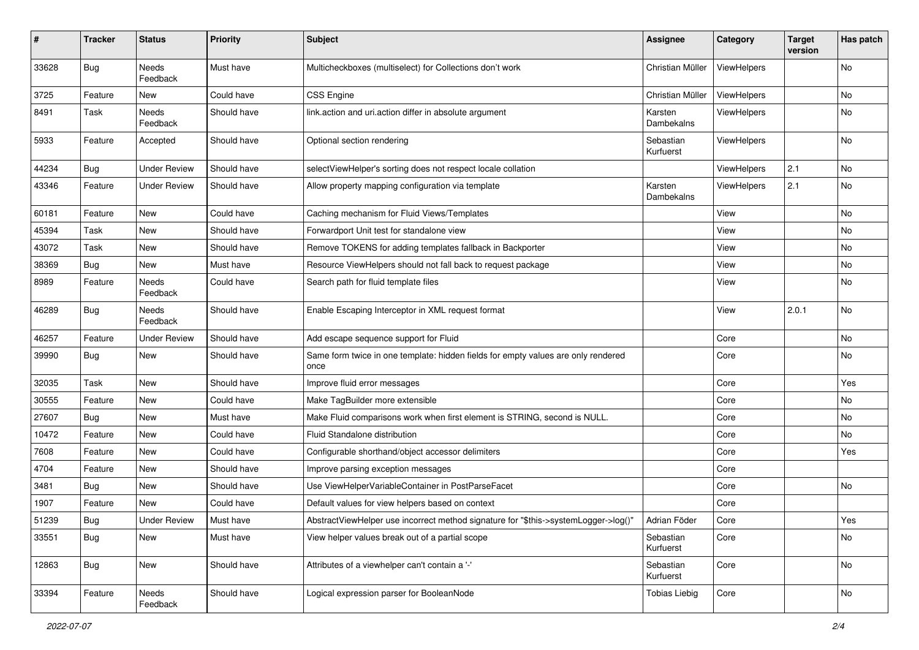| $\#$  | <b>Tracker</b> | <b>Status</b>       | <b>Priority</b> | <b>Subject</b>                                                                            | Assignee               | Category    | <b>Target</b><br>version | Has patch |
|-------|----------------|---------------------|-----------------|-------------------------------------------------------------------------------------------|------------------------|-------------|--------------------------|-----------|
| 33628 | Bug            | Needs<br>Feedback   | Must have       | Multicheckboxes (multiselect) for Collections don't work                                  | Christian Müller       | ViewHelpers |                          | <b>No</b> |
| 3725  | Feature        | New                 | Could have      | <b>CSS Engine</b>                                                                         | Christian Müller       | ViewHelpers |                          | No        |
| 8491  | Task           | Needs<br>Feedback   | Should have     | link.action and uri.action differ in absolute argument                                    | Karsten<br>Dambekalns  | ViewHelpers |                          | No        |
| 5933  | Feature        | Accepted            | Should have     | Optional section rendering                                                                | Sebastian<br>Kurfuerst | ViewHelpers |                          | No        |
| 44234 | Bug            | <b>Under Review</b> | Should have     | selectViewHelper's sorting does not respect locale collation                              |                        | ViewHelpers | 2.1                      | No        |
| 43346 | Feature        | <b>Under Review</b> | Should have     | Allow property mapping configuration via template                                         | Karsten<br>Dambekalns  | ViewHelpers | 2.1                      | No        |
| 60181 | Feature        | New                 | Could have      | Caching mechanism for Fluid Views/Templates                                               |                        | View        |                          | No        |
| 45394 | Task           | New                 | Should have     | Forwardport Unit test for standalone view                                                 |                        | View        |                          | No        |
| 43072 | Task           | New                 | Should have     | Remove TOKENS for adding templates fallback in Backporter                                 |                        | View        |                          | No        |
| 38369 | Bug            | New                 | Must have       | Resource ViewHelpers should not fall back to request package                              |                        | View        |                          | No        |
| 8989  | Feature        | Needs<br>Feedback   | Could have      | Search path for fluid template files                                                      |                        | View        |                          | No        |
| 46289 | Bug            | Needs<br>Feedback   | Should have     | Enable Escaping Interceptor in XML request format                                         |                        | View        | 2.0.1                    | No        |
| 46257 | Feature        | <b>Under Review</b> | Should have     | Add escape sequence support for Fluid                                                     |                        | Core        |                          | No        |
| 39990 | Bug            | New                 | Should have     | Same form twice in one template: hidden fields for empty values are only rendered<br>once |                        | Core        |                          | No        |
| 32035 | Task           | New                 | Should have     | Improve fluid error messages                                                              |                        | Core        |                          | Yes       |
| 30555 | Feature        | New                 | Could have      | Make TagBuilder more extensible                                                           |                        | Core        |                          | No        |
| 27607 | Bug            | New                 | Must have       | Make Fluid comparisons work when first element is STRING, second is NULL.                 |                        | Core        |                          | No        |
| 10472 | Feature        | New                 | Could have      | Fluid Standalone distribution                                                             |                        | Core        |                          | No        |
| 7608  | Feature        | New                 | Could have      | Configurable shorthand/object accessor delimiters                                         |                        | Core        |                          | Yes       |
| 4704  | Feature        | New                 | Should have     | Improve parsing exception messages                                                        |                        | Core        |                          |           |
| 3481  | Bug            | New                 | Should have     | Use ViewHelperVariableContainer in PostParseFacet                                         |                        | Core        |                          | No        |
| 1907  | Feature        | New                 | Could have      | Default values for view helpers based on context                                          |                        | Core        |                          |           |
| 51239 | <b>Bug</b>     | <b>Under Review</b> | Must have       | AbstractViewHelper use incorrect method signature for "\$this->systemLogger->log()"       | Adrian Föder           | Core        |                          | Yes       |
| 33551 | Bug            | New                 | Must have       | View helper values break out of a partial scope                                           | Sebastian<br>Kurfuerst | Core        |                          | No        |
| 12863 | <b>Bug</b>     | New                 | Should have     | Attributes of a viewhelper can't contain a '-'                                            | Sebastian<br>Kurfuerst | Core        |                          | No        |
| 33394 | Feature        | Needs<br>Feedback   | Should have     | Logical expression parser for BooleanNode                                                 | <b>Tobias Liebig</b>   | Core        |                          | No        |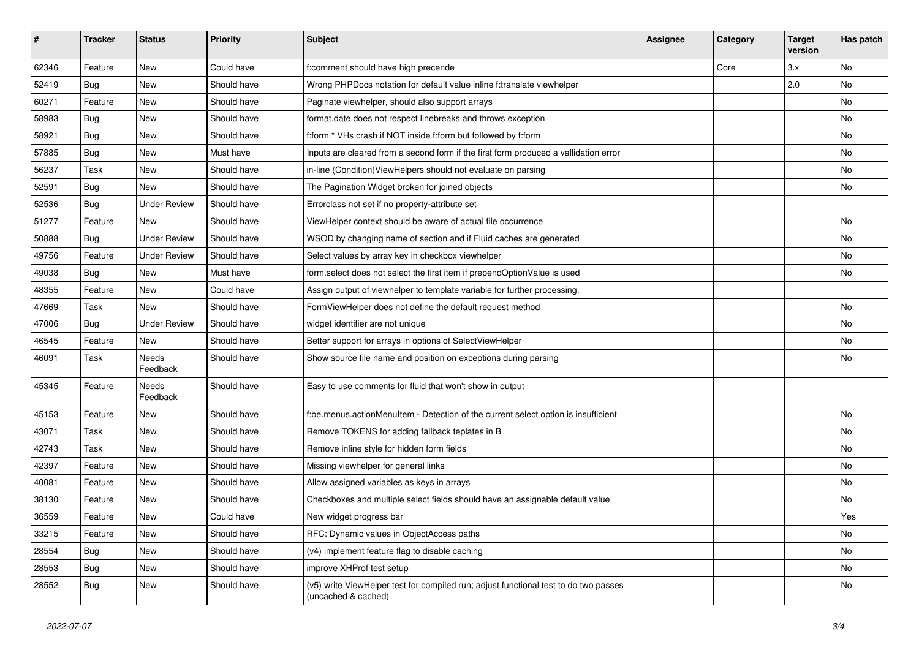| #     | <b>Tracker</b> | <b>Status</b>       | <b>Priority</b> | <b>Subject</b>                                                                                              | <b>Assignee</b> | Category | <b>Target</b><br>version | Has patch |
|-------|----------------|---------------------|-----------------|-------------------------------------------------------------------------------------------------------------|-----------------|----------|--------------------------|-----------|
| 62346 | Feature        | New                 | Could have      | f:comment should have high precende                                                                         |                 | Core     | 3.x                      | <b>No</b> |
| 52419 | Bug            | New                 | Should have     | Wrong PHPDocs notation for default value inline f:translate viewhelper                                      |                 |          | 2.0                      | No        |
| 60271 | Feature        | New                 | Should have     | Paginate viewhelper, should also support arrays                                                             |                 |          |                          | No        |
| 58983 | Bug            | New                 | Should have     | format.date does not respect linebreaks and throws exception                                                |                 |          |                          | No        |
| 58921 | Bug            | New                 | Should have     | f:form.* VHs crash if NOT inside f:form but followed by f:form                                              |                 |          |                          | No        |
| 57885 | Bug            | New                 | Must have       | Inputs are cleared from a second form if the first form produced a vallidation error                        |                 |          |                          | No        |
| 56237 | Task           | New                 | Should have     | in-line (Condition) View Helpers should not evaluate on parsing                                             |                 |          |                          | No        |
| 52591 | Bug            | New                 | Should have     | The Pagination Widget broken for joined objects                                                             |                 |          |                          | No        |
| 52536 | Bug            | <b>Under Review</b> | Should have     | Errorclass not set if no property-attribute set                                                             |                 |          |                          |           |
| 51277 | Feature        | New                 | Should have     | ViewHelper context should be aware of actual file occurrence                                                |                 |          |                          | No        |
| 50888 | Bug            | <b>Under Review</b> | Should have     | WSOD by changing name of section and if Fluid caches are generated                                          |                 |          |                          | <b>No</b> |
| 49756 | Feature        | <b>Under Review</b> | Should have     | Select values by array key in checkbox viewhelper                                                           |                 |          |                          | No        |
| 49038 | Bug            | New                 | Must have       | form.select does not select the first item if prependOptionValue is used                                    |                 |          |                          | No        |
| 48355 | Feature        | New                 | Could have      | Assign output of viewhelper to template variable for further processing.                                    |                 |          |                          |           |
| 47669 | Task           | New                 | Should have     | FormViewHelper does not define the default request method                                                   |                 |          |                          | No        |
| 47006 | Bug            | <b>Under Review</b> | Should have     | widget identifier are not unique                                                                            |                 |          |                          | No        |
| 46545 | Feature        | New                 | Should have     | Better support for arrays in options of SelectViewHelper                                                    |                 |          |                          | No        |
| 46091 | Task           | Needs<br>Feedback   | Should have     | Show source file name and position on exceptions during parsing                                             |                 |          |                          | No        |
| 45345 | Feature        | Needs<br>Feedback   | Should have     | Easy to use comments for fluid that won't show in output                                                    |                 |          |                          |           |
| 45153 | Feature        | New                 | Should have     | f:be.menus.actionMenuItem - Detection of the current select option is insufficient                          |                 |          |                          | No        |
| 43071 | Task           | New                 | Should have     | Remove TOKENS for adding fallback teplates in B                                                             |                 |          |                          | No        |
| 42743 | Task           | New                 | Should have     | Remove inline style for hidden form fields                                                                  |                 |          |                          | No        |
| 42397 | Feature        | New                 | Should have     | Missing viewhelper for general links                                                                        |                 |          |                          | No        |
| 40081 | Feature        | New                 | Should have     | Allow assigned variables as keys in arrays                                                                  |                 |          |                          | No        |
| 38130 | Feature        | New                 | Should have     | Checkboxes and multiple select fields should have an assignable default value                               |                 |          |                          | No        |
| 36559 | Feature        | New                 | Could have      | New widget progress bar                                                                                     |                 |          |                          | Yes       |
| 33215 | Feature        | New                 | Should have     | RFC: Dynamic values in ObjectAccess paths                                                                   |                 |          |                          | No        |
| 28554 | <b>Bug</b>     | New                 | Should have     | (v4) implement feature flag to disable caching                                                              |                 |          |                          | No        |
| 28553 | Bug            | New                 | Should have     | improve XHProf test setup                                                                                   |                 |          |                          | No        |
| 28552 | Bug            | New                 | Should have     | (v5) write ViewHelper test for compiled run; adjust functional test to do two passes<br>(uncached & cached) |                 |          |                          | No        |